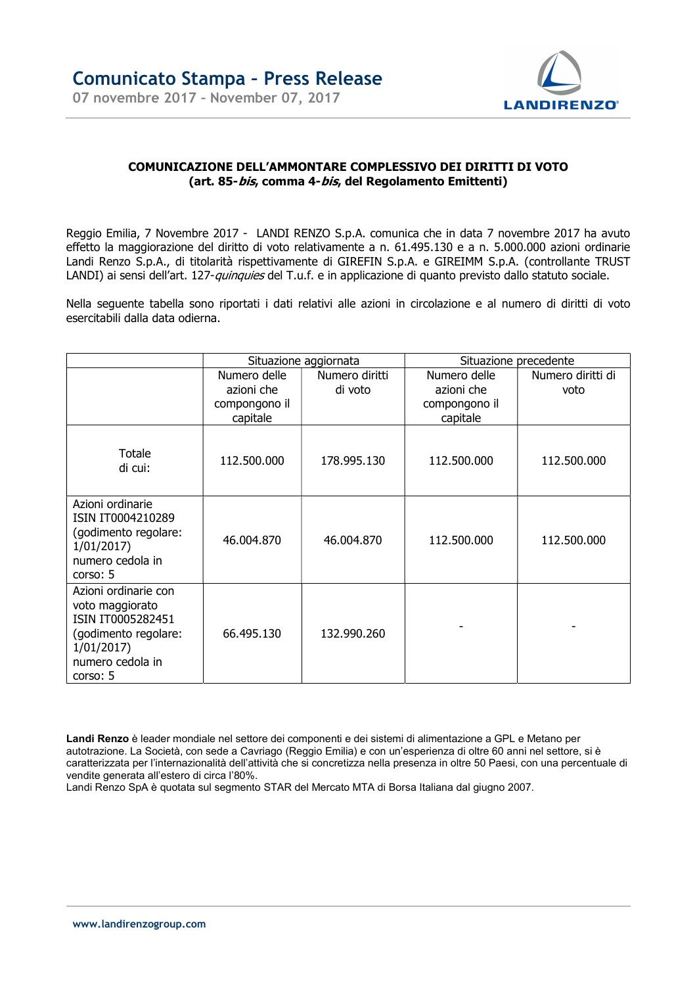

## COMUNICAZIONE DELL'AMMONTARE COMPLESSIVO DEI DIRITTI DI VOTO (art. 85-*bis,* comma 4-*bis,* del Regolamento Emittenti)

Reggio Emilia, 7 Novembre 2017 - LANDI RENZO S.p.A. comunica che in data 7 novembre 2017 ha avuto effetto la maggiorazione del diritto di voto relativamente a n. 61.495.130 e a n. 5.000.000 azioni ordinarie Landi Renzo S.p.A., di titolarità rispettivamente di GIREFIN S.p.A. e GIREIMM S.p.A. (controllante TRUST LANDI) ai sensi dell'art. 127-*quinquies* del T.u.f. e in applicazione di quanto previsto dallo statuto sociale.

Nella seguente tabella sono riportati i dati relativi alle azioni in circolazione e al numero di diritti di voto esercitabili dalla data odierna.

|                                                                                                                                   | Situazione aggiornata |                | Situazione precedente |                   |
|-----------------------------------------------------------------------------------------------------------------------------------|-----------------------|----------------|-----------------------|-------------------|
|                                                                                                                                   | Numero delle          | Numero diritti | Numero delle          | Numero diritti di |
|                                                                                                                                   | azioni che            | di voto        | azioni che            | voto              |
|                                                                                                                                   | compongono il         |                | compongono il         |                   |
|                                                                                                                                   | capitale              |                | capitale              |                   |
| Totale<br>di cui:                                                                                                                 | 112.500.000           | 178.995.130    | 112.500.000           | 112.500.000       |
| Azioni ordinarie<br>ISIN IT0004210289<br>(godimento regolare:<br>1/01/2017<br>numero cedola in<br>corso: 5                        | 46.004.870            | 46.004.870     | 112.500.000           | 112.500.000       |
| Azioni ordinarie con<br>voto maggiorato<br>ISIN IT0005282451<br>(godimento regolare:<br>1/01/2017<br>numero cedola in<br>corso: 5 | 66.495.130            | 132.990.260    |                       |                   |

Landi Renzo è leader mondiale nel settore dei componenti e dei sistemi di alimentazione a GPL e Metano per autotrazione. La Società, con sede a Cavriago (Reggio Emilia) e con un'esperienza di oltre 60 anni nel settore, si è caratterizzata per l'internazionalità dell'attività che si concretizza nella presenza in oltre 50 Paesi, con una percentuale di vendite generata all'estero di circa l'80%.

Landi Renzo SpA è quotata sul segmento STAR del Mercato MTA di Borsa Italiana dal giugno 2007.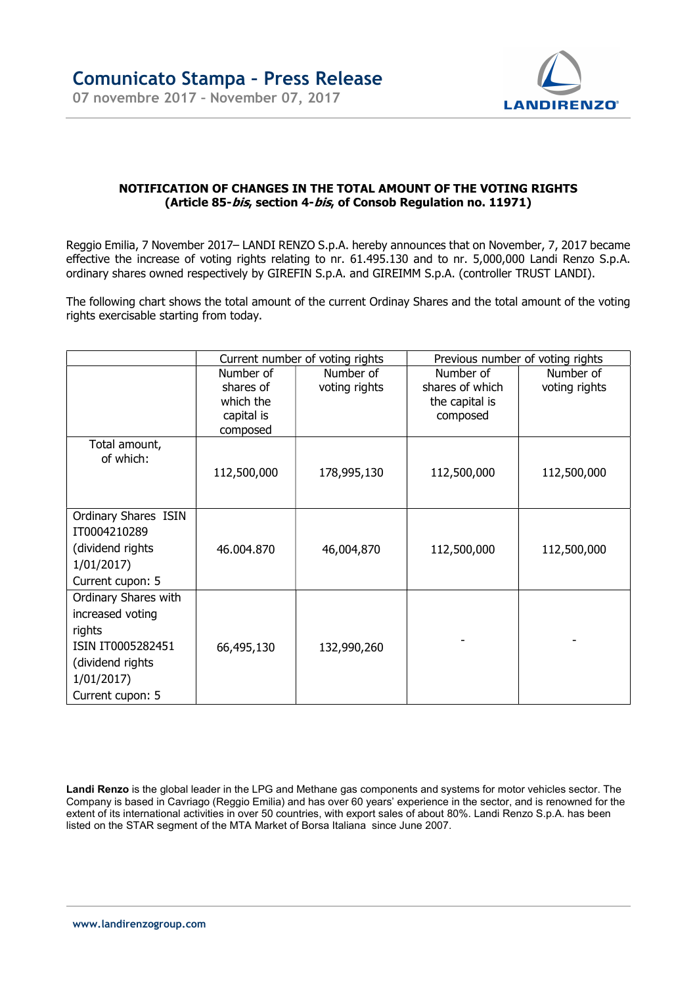

## NOTIFICATION OF CHANGES IN THE TOTAL AMOUNT OF THE VOTING RIGHTS (Article 85-*bis,* section 4-*bis,* of Consob Regulation no. 11971)

Reggio Emilia, 7 November 2017– LANDI RENZO S.p.A. hereby announces that on November, 7, 2017 became effective the increase of voting rights relating to nr. 61.495.130 and to nr. 5,000,000 Landi Renzo S.p.A. ordinary shares owned respectively by GIREFIN S.p.A. and GIREIMM S.p.A. (controller TRUST LANDI).

The following chart shows the total amount of the current Ordinay Shares and the total amount of the voting rights exercisable starting from today.

|                      | Current number of voting rights |               | Previous number of voting rights |               |
|----------------------|---------------------------------|---------------|----------------------------------|---------------|
|                      | Number of                       | Number of     | Number of                        | Number of     |
|                      | shares of                       | voting rights | shares of which                  | voting rights |
|                      | which the                       |               | the capital is                   |               |
|                      | capital is                      |               | composed                         |               |
|                      | composed                        |               |                                  |               |
| Total amount,        |                                 |               |                                  |               |
| of which:            |                                 |               |                                  |               |
|                      | 112,500,000                     | 178,995,130   | 112,500,000                      | 112,500,000   |
|                      |                                 |               |                                  |               |
| Ordinary Shares ISIN |                                 |               |                                  |               |
| IT0004210289         |                                 |               |                                  |               |
| (dividend rights)    | 46.004.870                      | 46,004,870    | 112,500,000                      | 112,500,000   |
| 1/01/2017            |                                 |               |                                  |               |
| Current cupon: 5     |                                 |               |                                  |               |
| Ordinary Shares with |                                 |               |                                  |               |
| increased voting     |                                 |               |                                  |               |
| rights               |                                 |               |                                  |               |
| ISIN IT0005282451    | 66,495,130                      | 132,990,260   |                                  |               |
| (dividend rights)    |                                 |               |                                  |               |
| 1/01/2017            |                                 |               |                                  |               |
| Current cupon: 5     |                                 |               |                                  |               |

Landi Renzo is the global leader in the LPG and Methane gas components and systems for motor vehicles sector. The Company is based in Cavriago (Reggio Emilia) and has over 60 years' experience in the sector, and is renowned for the extent of its international activities in over 50 countries, with export sales of about 80%. Landi Renzo S.p.A. has been listed on the STAR segment of the MTA Market of Borsa Italiana since June 2007.